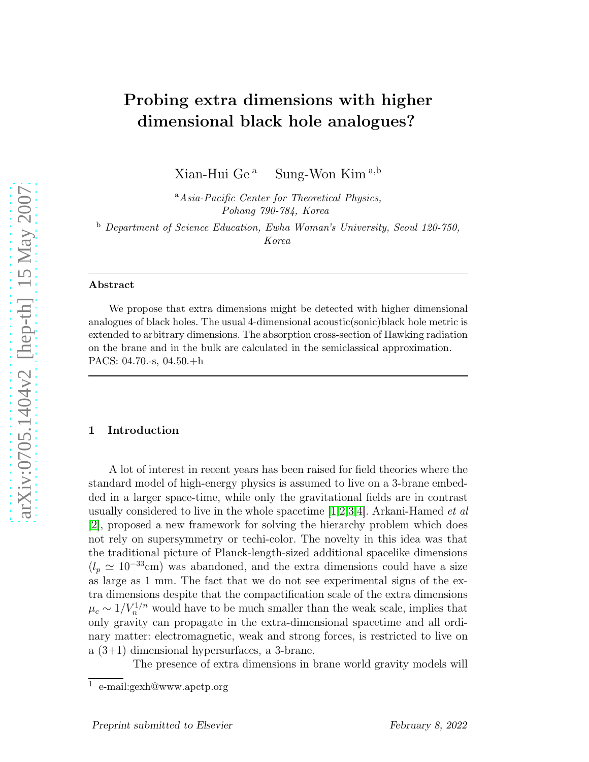# Probing extra dimensions with higher dimensional black hole analogues?

Xian-Hui Ge<sup>a</sup> Sung-Won Kim<sup>a,b</sup>

<sup>a</sup>Asia-Pacific Center for Theoretical Physics, Pohang 790-784, Korea

<sup>b</sup> Department of Science Education, Ewha Woman's University, Seoul 120-750, Korea

## Abstract

We propose that extra dimensions might be detected with higher dimensional analogues of black holes. The usual 4-dimensional acoustic(sonic)black hole metric is extended to arbitrary dimensions. The absorption cross-section of Hawking radiation on the brane and in the bulk are calculated in the semiclassical approximation. PACS: 04.70.-s, 04.50.+h

# 1 Introduction

A lot of interest in recent years has been raised for field theories where the standard model of high-energy physics is assumed to live on a 3-brane embedded in a larger space-time, while only the gravitational fields are in contrast usually considered to live in the whole spacetime  $[1,2,3,4]$  $[1,2,3,4]$  $[1,2,3,4]$  $[1,2,3,4]$ . Arkani-Hamed *et al* [\[2\]](#page-14-0), proposed a new framework for solving the hierarchy problem which does not rely on supersymmetry or techi-color. The novelty in this idea was that the traditional picture of Planck-length-sized additional spacelike dimensions  $(l_p \approx 10^{-33} \text{cm})$  was abandoned, and the extra dimensions could have a size as large as 1 mm. The fact that we do not see experimental signs of the extra dimensions despite that the compactification scale of the extra dimensions  $\mu_c \sim 1/V_n^{1/n}$  would have to be much smaller than the weak scale, implies that only gravity can propagate in the extra-dimensional spacetime and all ordinary matter: electromagnetic, weak and strong forces, is restricted to live on a (3+1) dimensional hypersurfaces, a 3-brane.

The presence of extra dimensions in brane world gravity models will

<sup>1</sup> e-mail:gexh@www.apctp.org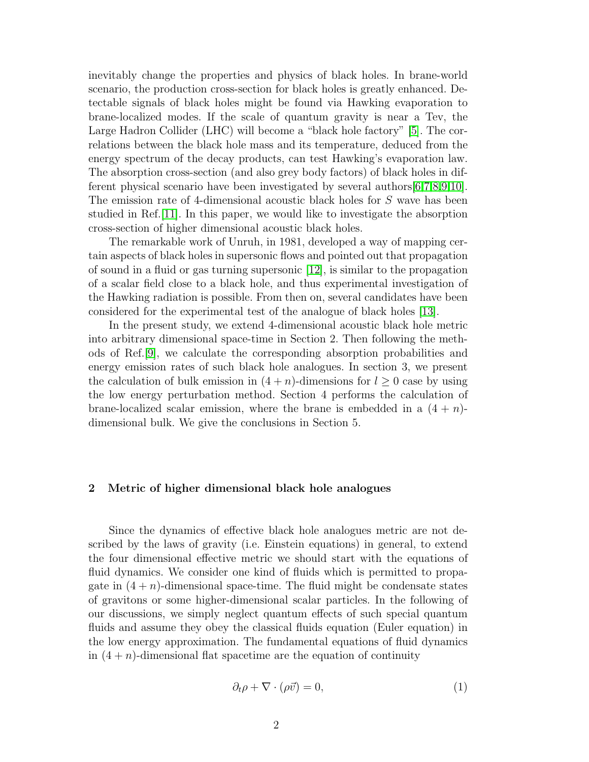inevitably change the properties and physics of black holes. In brane-world scenario, the production cross-section for black holes is greatly enhanced. Detectable signals of black holes might be found via Hawking evaporation to brane-localized modes. If the scale of quantum gravity is near a Tev, the Large Hadron Collider (LHC) will become a "black hole factory" [\[5\]](#page-14-3). The correlations between the black hole mass and its temperature, deduced from the energy spectrum of the decay products, can test Hawking's evaporation law. The absorption cross-section (and also grey body factors) of black holes in different physical scenario have been investigated by several authors[\[6,](#page-14-4)[7,](#page-14-5)[8,](#page-14-6)[9](#page-14-7)[,10\]](#page-14-8). The emission rate of 4-dimensional acoustic black holes for S wave has been studied in Ref.[\[11\]](#page-14-9). In this paper, we would like to investigate the absorption cross-section of higher dimensional acoustic black holes.

The remarkable work of Unruh, in 1981, developed a way of mapping certain aspects of black holes in supersonic flows and pointed out that propagation of sound in a fluid or gas turning supersonic [\[12\]](#page-14-10), is similar to the propagation of a scalar field close to a black hole, and thus experimental investigation of the Hawking radiation is possible. From then on, several candidates have been considered for the experimental test of the analogue of black holes [\[13\]](#page-14-11).

In the present study, we extend 4-dimensional acoustic black hole metric into arbitrary dimensional space-time in Section 2. Then following the methods of Ref.[\[9\]](#page-14-7), we calculate the corresponding absorption probabilities and energy emission rates of such black hole analogues. In section 3, we present the calculation of bulk emission in  $(4 + n)$ -dimensions for  $l \geq 0$  case by using the low energy perturbation method. Section 4 performs the calculation of brane-localized scalar emission, where the brane is embedded in a  $(4 + n)$ dimensional bulk. We give the conclusions in Section 5.

#### 2 Metric of higher dimensional black hole analogues

Since the dynamics of effective black hole analogues metric are not described by the laws of gravity (i.e. Einstein equations) in general, to extend the four dimensional effective metric we should start with the equations of fluid dynamics. We consider one kind of fluids which is permitted to propagate in  $(4 + n)$ -dimensional space-time. The fluid might be condensate states of gravitons or some higher-dimensional scalar particles. In the following of our discussions, we simply neglect quantum effects of such special quantum fluids and assume they obey the classical fluids equation (Euler equation) in the low energy approximation. The fundamental equations of fluid dynamics in  $(4 + n)$ -dimensional flat spacetime are the equation of continuity

$$
\partial_t \rho + \nabla \cdot (\rho \vec{v}) = 0,\tag{1}
$$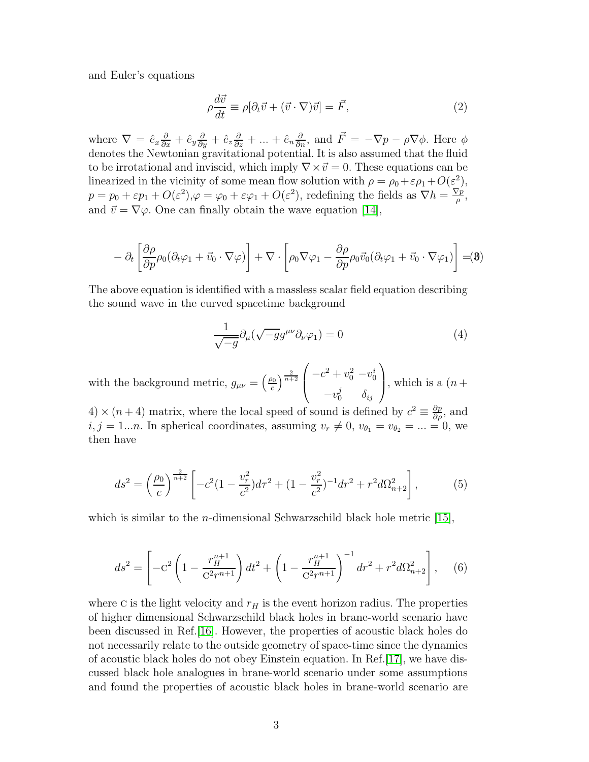and Euler's equations

$$
\rho \frac{d\vec{v}}{dt} \equiv \rho [\partial_t \vec{v} + (\vec{v} \cdot \nabla)\vec{v}] = \vec{F},\qquad(2)
$$

where  $\nabla = \hat{e}_x \frac{\partial}{\partial x} + \hat{e}_y \frac{\partial}{\partial y} + \hat{e}_z \frac{\partial}{\partial z} + \dots + \hat{e}_n \frac{\partial}{\partial n}$ , and  $\vec{F} = -\nabla p - \rho \nabla \phi$ . Here  $\phi$ denotes the Newtonian gravitational potential. It is also assumed that the fluid to be irrotational and inviscid, which imply  $\nabla \times \vec{v} = 0$ . These equations can be linearized in the vicinity of some mean flow solution with  $\rho = \rho_0 + \varepsilon \rho_1 + O(\varepsilon^2)$ ,  $p = p_0 + \varepsilon p_1 + O(\varepsilon^2), \varphi = \varphi_0 + \varepsilon \varphi_1 + O(\varepsilon^2),$  redefining the fields as  $\nabla h = \frac{\nabla p}{\rho}$  $\frac{\sqrt{p}}{\rho}$ , and  $\vec{v} = \nabla \varphi$ . One can finally obtain the wave equation [\[14\]](#page-15-0),

$$
- \partial_t \left[ \frac{\partial \rho}{\partial p} \rho_0 (\partial_t \varphi_1 + \vec{v}_0 \cdot \nabla \varphi) \right] + \nabla \cdot \left[ \rho_0 \nabla \varphi_1 - \frac{\partial \rho}{\partial p} \rho_0 \vec{v}_0 (\partial_t \varphi_1 + \vec{v}_0 \cdot \nabla \varphi_1) \right] = 0
$$

The above equation is identified with a massless scalar field equation describing the sound wave in the curved spacetime background

<span id="page-2-0"></span>
$$
\frac{1}{\sqrt{-g}}\partial_{\mu}(\sqrt{-g}g^{\mu\nu}\partial_{\nu}\varphi_1) = 0\tag{4}
$$

with the background metric,  $g_{\mu\nu} = \left(\frac{\rho_0}{c}\right)$  $\left(\frac{2}{c}\right)^{\frac{2}{n+2}}$  $\sqrt{ }$  $\overline{ }$  $-c^2 + v_0^2 - v_0^i$  $-v_0^j$   $\delta_{ij}$  $\setminus$ , which is a  $(n +$ 

4)  $\times$  (*n* + 4) matrix, where the local speed of sound is defined by  $c^2 \equiv \frac{\partial p}{\partial \rho}$ , and  $i, j = 1...n$ . In spherical coordinates, assuming  $v_r \neq 0$ ,  $v_{\theta_1} = v_{\theta_2} = ... = 0$ , we then have

$$
ds^{2} = \left(\frac{\rho_{0}}{c}\right)^{\frac{2}{n+2}} \left[ -c^{2} \left(1 - \frac{v_{r}^{2}}{c^{2}}\right) d\tau^{2} + \left(1 - \frac{v_{r}^{2}}{c^{2}}\right)^{-1} dr^{2} + r^{2} d\Omega_{n+2}^{2} \right],
$$
 (5)

which is similar to the *n*-dimensional Schwarzschild black hole metric  $[15]$ ,

$$
ds^{2} = \left[ -C^{2} \left( 1 - \frac{r_{H}^{n+1}}{C^{2} r^{n+1}} \right) dt^{2} + \left( 1 - \frac{r_{H}^{n+1}}{C^{2} r^{n+1}} \right)^{-1} dr^{2} + r^{2} d\Omega_{n+2}^{2} \right], \quad (6)
$$

where c is the light velocity and  $r_H$  is the event horizon radius. The properties of higher dimensional Schwarzschild black holes in brane-world scenario have been discussed in Ref.[\[16\]](#page-15-2). However, the properties of acoustic black holes do not necessarily relate to the outside geometry of space-time since the dynamics of acoustic black holes do not obey Einstein equation. In Ref.[\[17\]](#page-15-3), we have discussed black hole analogues in brane-world scenario under some assumptions and found the properties of acoustic black holes in brane-world scenario are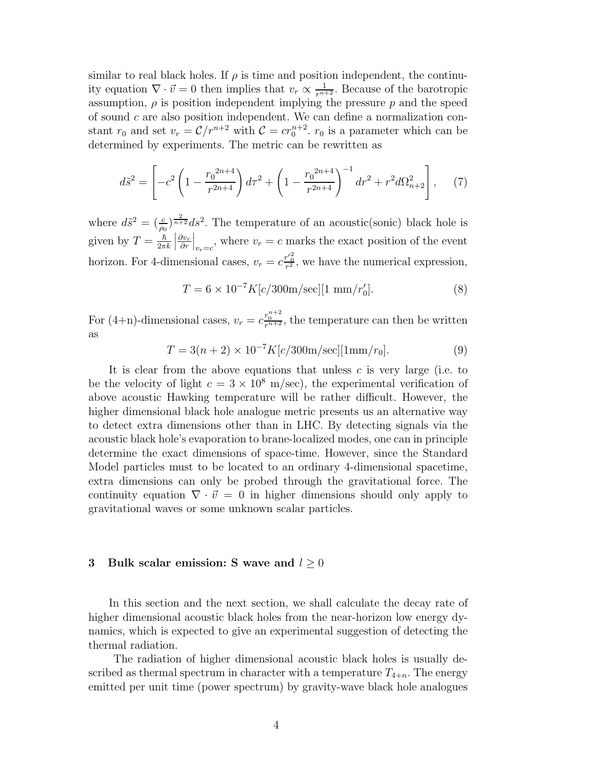similar to real black holes. If  $\rho$  is time and position independent, the continuity equation  $\nabla \cdot \vec{v} = 0$  then implies that  $v_r \propto \frac{1}{r^{n+2}}$ . Because of the barotropic assumption,  $\rho$  is position independent implying the pressure p and the speed of sound  $c$  are also position independent. We can define a normalization constant  $r_0$  and set  $v_r = \mathcal{C}/r^{n+2}$  with  $\mathcal{C} = cr_0^{n+2}$ .  $r_0$  is a parameter which can be determined by experiments. The metric can be rewritten as

<span id="page-3-0"></span>
$$
d\tilde{s}^2 = \left[ -c^2 \left( 1 - \frac{r_0^{2n+4}}{r^{2n+4}} \right) d\tau^2 + \left( 1 - \frac{r_0^{2n+4}}{r^{2n+4}} \right)^{-1} dr^2 + r^2 d\Omega_{n+2}^2 \right], \tag{7}
$$

where  $d\tilde{s}^2 = \left(\frac{c}{\rho_0}\right)^{\frac{2}{n+2}} ds^2$ . The temperature of an acoustic(sonic) black hole is given by  $T = \frac{\hbar}{2\pi}$  $2\pi k$  $\begin{array}{c} \begin{array}{c} \begin{array}{c} \end{array}\\ \begin{array}{c} \end{array} \end{array} \end{array}$  $\partial v_r$ ∂r  $\Big|_{v_r=c}$ , where  $v_r = c$  marks the exact position of the event horizon. For 4-dimensional cases,  $v_r = c \frac{r'^2}{r^2}$ , we have the numerical expression,

$$
T = 6 \times 10^{-7} K[c/300 \text{m/sec}][1 \text{ mm}/r'_0].
$$
 (8)

For (4+n)-dimensional cases,  $v_r = c \frac{r_0^{n+2}}{r^{n+2}}$ , the temperature can then be written as

$$
T = 3(n+2) \times 10^{-7} K[c/300 \text{m/sec}][1 \text{mm}/r_0].
$$
 (9)

It is clear from the above equations that unless  $c$  is very large (i.e. to be the velocity of light  $c = 3 \times 10^8$  m/sec), the experimental verification of above acoustic Hawking temperature will be rather difficult. However, the higher dimensional black hole analogue metric presents us an alternative way to detect extra dimensions other than in LHC. By detecting signals via the acoustic black hole's evaporation to brane-localized modes, one can in principle determine the exact dimensions of space-time. However, since the Standard Model particles must to be located to an ordinary 4-dimensional spacetime, extra dimensions can only be probed through the gravitational force. The continuity equation  $\nabla \cdot \vec{v} = 0$  in higher dimensions should only apply to gravitational waves or some unknown scalar particles.

## 3 Bulk scalar emission: S wave and  $l \geq 0$

In this section and the next section, we shall calculate the decay rate of higher dimensional acoustic black holes from the near-horizon low energy dynamics, which is expected to give an experimental suggestion of detecting the thermal radiation.

The radiation of higher dimensional acoustic black holes is usually described as thermal spectrum in character with a temperature  $T_{4+n}$ . The energy emitted per unit time (power spectrum) by gravity-wave black hole analogues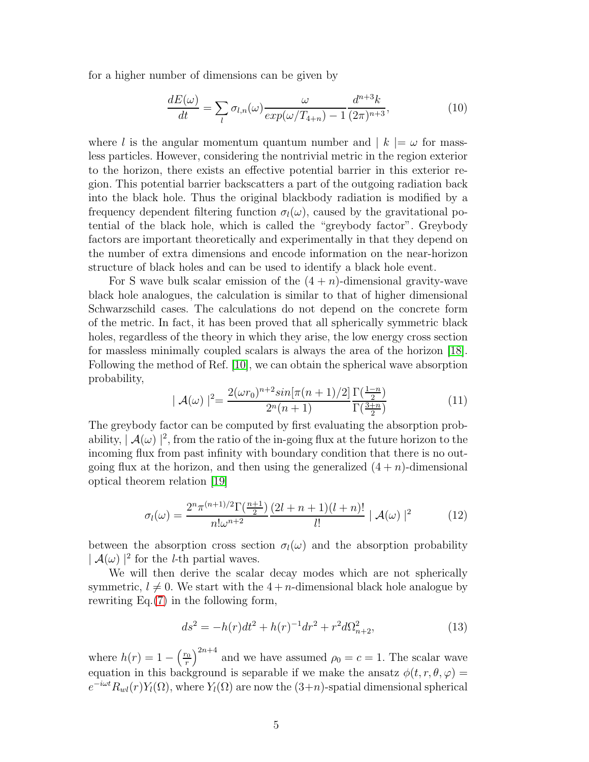for a higher number of dimensions can be given by

$$
\frac{dE(\omega)}{dt} = \sum_{l} \sigma_{l,n}(\omega) \frac{\omega}{exp(\omega/T_{4+n}) - 1} \frac{d^{n+3}k}{(2\pi)^{n+3}},\tag{10}
$$

where l is the angular momentum quantum number and  $|k| = \omega$  for massless particles. However, considering the nontrivial metric in the region exterior to the horizon, there exists an effective potential barrier in this exterior region. This potential barrier backscatters a part of the outgoing radiation back into the black hole. Thus the original blackbody radiation is modified by a frequency dependent filtering function  $\sigma_l(\omega)$ , caused by the gravitational potential of the black hole, which is called the "greybody factor". Greybody factors are important theoretically and experimentally in that they depend on the number of extra dimensions and encode information on the near-horizon structure of black holes and can be used to identify a black hole event.

For S wave bulk scalar emission of the  $(4 + n)$ -dimensional gravity-wave black hole analogues, the calculation is similar to that of higher dimensional Schwarzschild cases. The calculations do not depend on the concrete form of the metric. In fact, it has been proved that all spherically symmetric black holes, regardless of the theory in which they arise, the low energy cross section for massless minimally coupled scalars is always the area of the horizon [\[18\]](#page-15-4). Following the method of Ref. [\[10\]](#page-14-8), we can obtain the spherical wave absorption probability,

$$
|\mathcal{A}(\omega)|^2 = \frac{2(\omega r_0)^{n+2} \sin[\pi(n+1)/2]}{2^n(n+1)} \frac{\Gamma(\frac{1-n}{2})}{\Gamma(\frac{3+n}{2})}
$$
(11)

The greybody factor can be computed by first evaluating the absorption probability,  $\vert A(\omega)\vert^2$ , from the ratio of the in-going flux at the future horizon to the incoming flux from past infinity with boundary condition that there is no outgoing flux at the horizon, and then using the generalized  $(4+n)$ -dimensional optical theorem relation [\[19\]](#page-15-5)

$$
\sigma_l(\omega) = \frac{2^n \pi^{(n+1)/2} \Gamma(\frac{n+1}{2})}{n! \omega^{n+2}} \frac{(2l+n+1)(l+n)!}{l!} |\mathcal{A}(\omega)|^2 \tag{12}
$$

between the absorption cross section  $\sigma_l(\omega)$  and the absorption probability  $|\mathcal{A}(\omega)|^2$  for the *l*-th partial waves.

We will then derive the scalar decay modes which are not spherically symmetric,  $l \neq 0$ . We start with the  $4 + n$ -dimensional black hole analogue by rewriting Eq.[\(7\)](#page-3-0) in the following form,

$$
ds^{2} = -h(r)dt^{2} + h(r)^{-1}dr^{2} + r^{2}d\Omega_{n+2}^{2},
$$
\n(13)

where  $h(r) = 1 - \left(\frac{r_0}{r}\right)$  $\int_{r}^{\infty}$  and we have assumed  $\rho_0 = c = 1$ . The scalar wave equation in this background is separable if we make the ansatz  $\phi(t, r, \theta, \varphi)$  $e^{-i\omega t}R_{wl}(r)Y_l(\Omega)$ , where  $Y_l(\Omega)$  are now the  $(3+n)$ -spatial dimensional spherical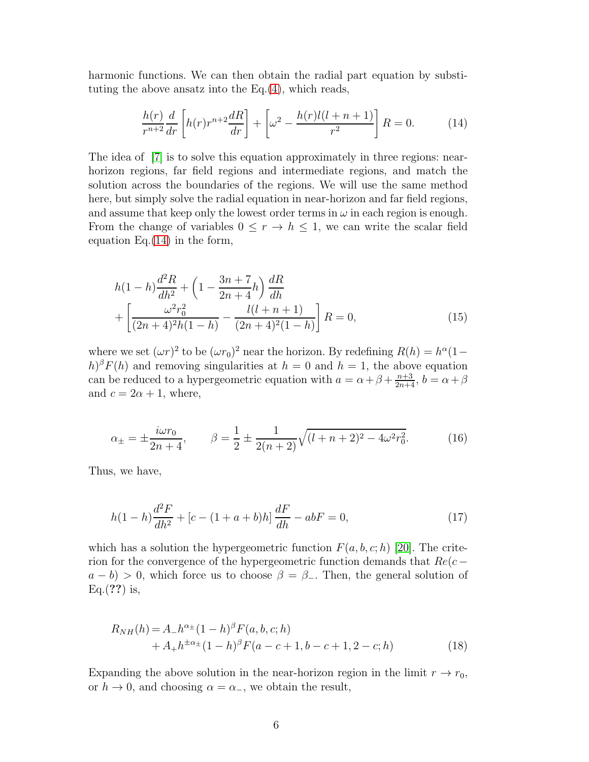harmonic functions. We can then obtain the radial part equation by substituting the above ansatz into the  $Eq.(4)$  $Eq.(4)$ , which reads,

<span id="page-5-0"></span>
$$
\frac{h(r)}{r^{n+2}}\frac{d}{dr}\left[h(r)r^{n+2}\frac{dR}{dr}\right]+\left[\omega^2-\frac{h(r)l(l+n+1)}{r^2}\right]R=0.\tag{14}
$$

The idea of [\[7\]](#page-14-5) is to solve this equation approximately in three regions: nearhorizon regions, far field regions and intermediate regions, and match the solution across the boundaries of the regions. We will use the same method here, but simply solve the radial equation in near-horizon and far field regions, and assume that keep only the lowest order terms in  $\omega$  in each region is enough. From the change of variables  $0 \leq r \to h \leq 1$ , we can write the scalar field equation Eq.[\(14\)](#page-5-0) in the form,

$$
h(1-h)\frac{d^2R}{dh^2} + \left(1 - \frac{3n+7}{2n+4}h\right)\frac{dR}{dh} + \left[\frac{\omega^2r_0^2}{(2n+4)^2h(1-h)} - \frac{l(l+n+1)}{(2n+4)^2(1-h)}\right]R = 0,
$$
\n(15)

where we set  $(\omega r)^2$  to be  $(\omega r_0)^2$  near the horizon. By redefining  $R(h) = h^{\alpha}(1-h)$  $(h)^{\beta}F(h)$  and removing singularities at  $h = 0$  and  $h = 1$ , the above equation can be reduced to a hypergeometric equation with  $a = \alpha + \beta + \frac{n+3}{2n+4}$ ,  $b = \alpha + \beta$ and  $c = 2\alpha + 1$ , where,

$$
\alpha_{\pm} = \pm \frac{i\omega r_0}{2n+4}, \qquad \beta = \frac{1}{2} \pm \frac{1}{2(n+2)} \sqrt{(l+n+2)^2 - 4\omega^2 r_0^2}.
$$
 (16)

Thus, we have,

$$
h(1-h)\frac{d^2F}{dh^2} + [c - (1+a+b)h]\frac{dF}{dh} - abF = 0,
$$
\n(17)

which has a solution the hypergeometric function  $F(a, b, c; h)$  [\[20\]](#page-15-6). The criterion for the convergence of the hypergeometric function demands that  $Re(c$  $a - b$ ) > 0, which force us to choose  $\beta = \beta$ . Then, the general solution of  $Eq.(??)$  is,

<span id="page-5-1"></span>
$$
R_{NH}(h) = A_- h^{\alpha \pm} (1 - h)^{\beta} F(a, b, c; h) + A_+ h^{\pm \alpha \pm} (1 - h)^{\beta} F(a - c + 1, b - c + 1, 2 - c; h)
$$
(18)

Expanding the above solution in the near-horizon region in the limit  $r \to r_0$ , or  $h \to 0$ , and choosing  $\alpha = \alpha_-,$  we obtain the result,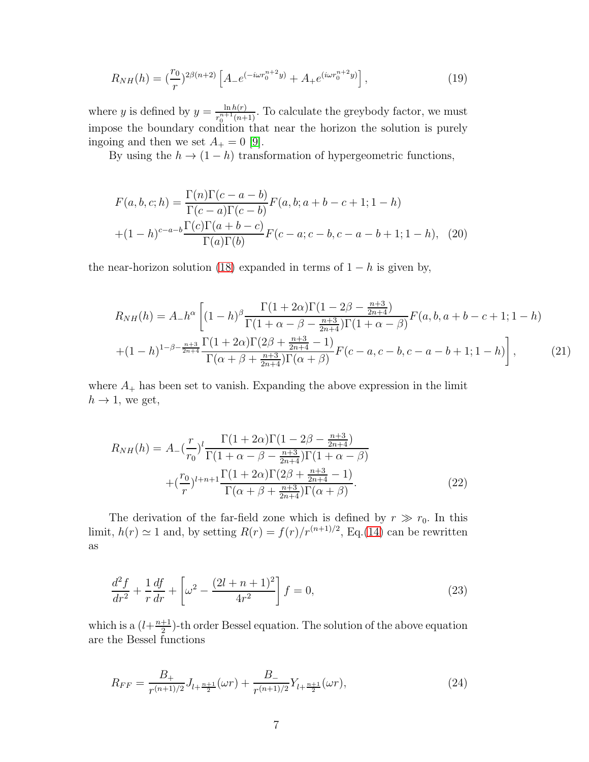$$
R_{NH}(h) = \left(\frac{r_0}{r}\right)^{2\beta(n+2)} \left[A_{-}e^{(-i\omega r_0^{n+2}y)} + A_{+}e^{(i\omega r_0^{n+2}y)}\right],\tag{19}
$$

where y is defined by  $y = \frac{\ln h(r)}{r^{n+1}(r)}$  $\frac{\ln h(r)}{r_0^{n+1}(n+1)}$ . To calculate the greybody factor, we must impose the boundary condition that near the horizon the solution is purely ingoing and then we set  $A_+ = 0$  [\[9\]](#page-14-7).

By using the  $h \to (1-h)$  transformation of hypergeometric functions,

<span id="page-6-1"></span>
$$
F(a, b, c; h) = \frac{\Gamma(n)\Gamma(c - a - b)}{\Gamma(c - a)\Gamma(c - b)} F(a, b; a + b - c + 1; 1 - h)
$$
  
 
$$
+ (1 - h)^{c - a - b} \frac{\Gamma(c)\Gamma(a + b - c)}{\Gamma(a)\Gamma(b)} F(c - a; c - b, c - a - b + 1; 1 - h), \quad (20)
$$

the near-horizon solution [\(18\)](#page-5-1) expanded in terms of  $1 - h$  is given by,

$$
R_{NH}(h) = A_{-}h^{\alpha} \left[ (1-h)^{\beta} \frac{\Gamma(1+2\alpha)\Gamma(1-2\beta-\frac{n+3}{2n+4})}{\Gamma(1+\alpha-\beta-\frac{n+3}{2n+4})\Gamma(1+\alpha-\beta)} F(a,b,a+b-c+1;1-h) \right]
$$

$$
+ (1-h)^{1-\beta-\frac{n+3}{2n+4}} \frac{\Gamma(1+2\alpha)\Gamma(2\beta+\frac{n+3}{2n+4}-1)}{\Gamma(\alpha+\beta+\frac{n+3}{2n+4})\Gamma(\alpha+\beta)} F(c-a,c-b,c-a-b+1;1-h) \right], \tag{21}
$$

where  $A_+$  has been set to vanish. Expanding the above expression in the limit  $h \rightarrow 1$ , we get,

<span id="page-6-0"></span>
$$
R_{NH}(h) = A_{-}\left(\frac{r}{r_0}\right)^l \frac{\Gamma(1+2\alpha)\Gamma(1-2\beta-\frac{n+3}{2n+4})}{\Gamma(1+\alpha-\beta-\frac{n+3}{2n+4})\Gamma(1+\alpha-\beta)} + \left(\frac{r_0}{r}\right)^{l+n+1} \frac{\Gamma(1+2\alpha)\Gamma(2\beta+\frac{n+3}{2n+4}-1)}{\Gamma(\alpha+\beta+\frac{n+3}{2n+4})\Gamma(\alpha+\beta)}.
$$
(22)

The derivation of the far-field zone which is defined by  $r \gg r_0$ . In this limit,  $h(r) \simeq 1$  and, by setting  $R(r) = f(r)/r^{(n+1)/2}$ , Eq.[\(14\)](#page-5-0) can be rewritten as

$$
\frac{d^2f}{dr^2} + \frac{1}{r}\frac{df}{dr} + \left[\omega^2 - \frac{(2l+n+1)^2}{4r^2}\right]f = 0,
$$
\n(23)

which is a  $(l+\frac{n+1}{2})$  $\frac{+1}{2}$ )-th order Bessel equation. The solution of the above equation are the Bessel functions

$$
R_{FF} = \frac{B_+}{r^{(n+1)/2}} J_{l+\frac{n+1}{2}}(\omega r) + \frac{B_-}{r^{(n+1)/2}} Y_{l+\frac{n+1}{2}}(\omega r),\tag{24}
$$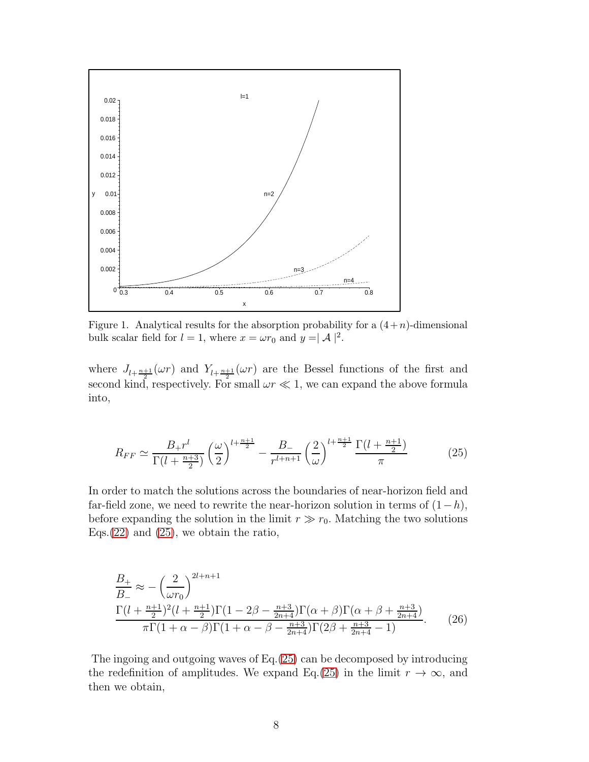

Figure 1. Analytical results for the absorption probability for a  $(4+n)$ -dimensional bulk scalar field for  $l = 1$ , where  $x = \omega r_0$  and  $y = \mathcal{A}$  |<sup>2</sup>.

where  $J_{l+\frac{n+1}{2}}(\omega r)$  and  $Y_{l+\frac{n+1}{2}}(\omega r)$  are the Bessel functions of the first and second kind, respectively. For small  $\omega r \ll 1$ , we can expand the above formula into,

<span id="page-7-0"></span>
$$
R_{FF} \simeq \frac{B_+ r^l}{\Gamma(l + \frac{n+3}{2})} \left(\frac{\omega}{2}\right)^{l + \frac{n+1}{2}} - \frac{B_-}{r^{l+n+1}} \left(\frac{2}{\omega}\right)^{l + \frac{n+1}{2}} \frac{\Gamma(l + \frac{n+1}{2})}{\pi} \tag{25}
$$

In order to match the solutions across the boundaries of near-horizon field and far-field zone, we need to rewrite the near-horizon solution in terms of  $(1-h)$ , before expanding the solution in the limit  $r \gg r_0$ . Matching the two solutions Eqs.  $(22)$  and  $(25)$ , we obtain the ratio,

$$
\frac{B_{+}}{B_{-}} \approx -\left(\frac{2}{\omega r_{0}}\right)^{2l+n+1} \frac{\Gamma(l + \frac{n+1}{2})^{2}(l + \frac{n+1}{2})\Gamma(1 - 2\beta - \frac{n+3}{2n+4})\Gamma(\alpha + \beta)\Gamma(\alpha + \beta + \frac{n+3}{2n+4})}{\pi\Gamma(1 + \alpha - \beta)\Gamma(1 + \alpha - \beta - \frac{n+3}{2n+4})\Gamma(2\beta + \frac{n+3}{2n+4} - 1)}.
$$
(26)

The ingoing and outgoing waves of Eq.[\(25\)](#page-7-0) can be decomposed by introducing the redefinition of amplitudes. We expand Eq.[\(25\)](#page-7-0) in the limit  $r \to \infty$ , and then we obtain,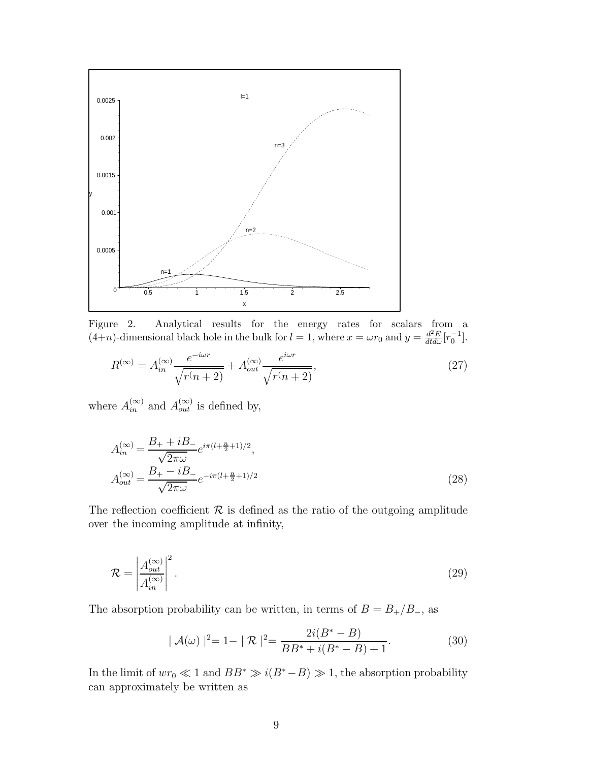

Figure 2. Analytical results for the energy rates for scalars from a  $(4+n)$ -dimensional black hole in the bulk for  $l = 1$ , where  $x = \omega r_0$  and  $y = \frac{d^2 E}{dt d\omega} [r_0^{-1}]$ .

$$
R^{(\infty)} = A_{in}^{(\infty)} \frac{e^{-i\omega r}}{\sqrt{r(n+2)}} + A_{out}^{(\infty)} \frac{e^{i\omega r}}{\sqrt{r(n+2)}},\tag{27}
$$

where  $A_{in}^{(\infty)}$  and  $A_{out}^{(\infty)}$  is defined by,

$$
A_{in}^{(\infty)} = \frac{B_+ + iB_-}{\sqrt{2\pi\omega}} e^{i\pi(l + \frac{n}{2} + 1)/2},
$$
  
\n
$$
A_{out}^{(\infty)} = \frac{B_+ - iB_-}{\sqrt{2\pi\omega}} e^{-i\pi(l + \frac{n}{2} + 1)/2}
$$
\n(28)

The reflection coefficient  $\mathcal R$  is defined as the ratio of the outgoing amplitude over the incoming amplitude at infinity,

$$
\mathcal{R} = \left| \frac{A_{out}^{(\infty)}}{A_{in}^{(\infty)}} \right|^2.
$$
\n(29)

The absorption probability can be written, in terms of  $B = B_{+}/B_{-}$ , as

$$
|\mathcal{A}(\omega)|^2 = 1 - |\mathcal{R}|^2 = \frac{2i(B^* - B)}{BB^* + i(B^* - B) + 1}.
$$
 (30)

In the limit of  $wr_0 \ll 1$  and  $BB^* \gg i(B^* - B) \gg 1$ , the absorption probability can approximately be written as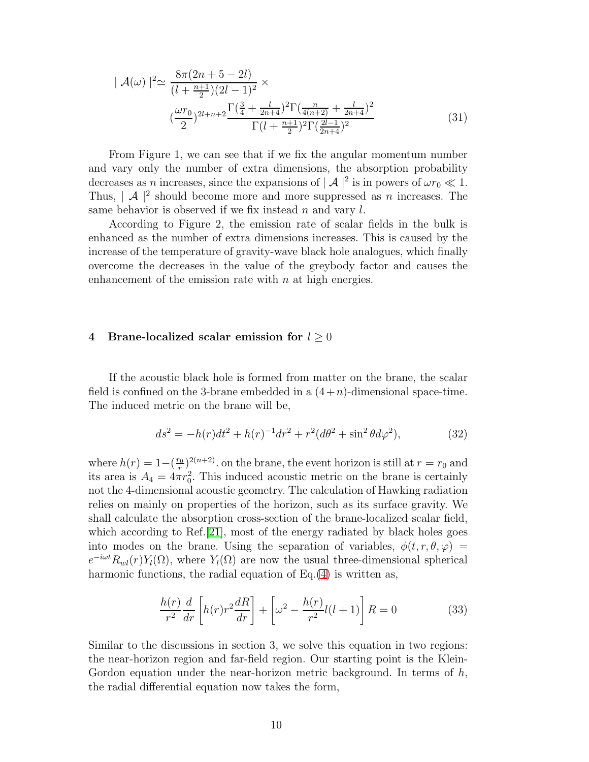$$
|\mathcal{A}(\omega)|^2 \simeq \frac{8\pi (2n+5-2l)}{(l+\frac{n+1}{2})(2l-1)^2} \times \frac{\Gamma(\frac{3}{4}+\frac{l}{2n+4})^2 \Gamma(\frac{n}{4(n+2)}+\frac{l}{2n+4})^2}{\Gamma(l+\frac{n+1}{2})^2 \Gamma(\frac{2l-1}{2n+4})^2}
$$
(31)

From Figure 1, we can see that if we fix the angular momentum number and vary only the number of extra dimensions, the absorption probability decreases as *n* increases, since the expansions of  $|\mathcal{A}|^2$  is in powers of  $\omega r_0 \ll 1$ . Thus,  $\mathcal{A} \mid^2$  should become more and more suppressed as *n* increases. The same behavior is observed if we fix instead  $n$  and vary  $l$ .

According to Figure 2, the emission rate of scalar fields in the bulk is enhanced as the number of extra dimensions increases. This is caused by the increase of the temperature of gravity-wave black hole analogues, which finally overcome the decreases in the value of the greybody factor and causes the enhancement of the emission rate with  $n$  at high energies.

## 4 Brane-localized scalar emission for  $l \geq 0$

If the acoustic black hole is formed from matter on the brane, the scalar field is confined on the 3-brane embedded in a  $(4+n)$ -dimensional space-time. The induced metric on the brane will be,

$$
ds^{2} = -h(r)dt^{2} + h(r)^{-1}dr^{2} + r^{2}(d\theta^{2} + \sin^{2}\theta d\varphi^{2}),
$$
\n(32)

where  $h(r) = 1-(\frac{r_0}{r})$  $\int_{r_0}^{r_0}$  (n+2). on the brane, the event horizon is still at  $r = r_0$  and its area is  $A_4 = 4\pi r_0^2$ . This induced acoustic metric on the brane is certainly not the 4-dimensional acoustic geometry. The calculation of Hawking radiation relies on mainly on properties of the horizon, such as its surface gravity. We shall calculate the absorption cross-section of the brane-localized scalar field, which according to Ref.[\[21\]](#page-15-7), most of the energy radiated by black holes goes into modes on the brane. Using the separation of variables,  $\phi(t, r, \theta, \varphi)$  =  $e^{-i\omega t}R_{wl}(r)Y_l(\Omega)$ , where  $Y_l(\Omega)$  are now the usual three-dimensional spherical harmonic functions, the radial equation of Eq.[\(4\)](#page-2-0) is written as,

<span id="page-9-0"></span>
$$
\frac{h(r)}{r^2}\frac{d}{dr}\left[h(r)r^2\frac{dR}{dr}\right] + \left[\omega^2 - \frac{h(r)}{r^2}l(l+1)\right]R = 0\tag{33}
$$

Similar to the discussions in section 3, we solve this equation in two regions: the near-horizon region and far-field region. Our starting point is the Klein-Gordon equation under the near-horizon metric background. In terms of  $h$ , the radial differential equation now takes the form,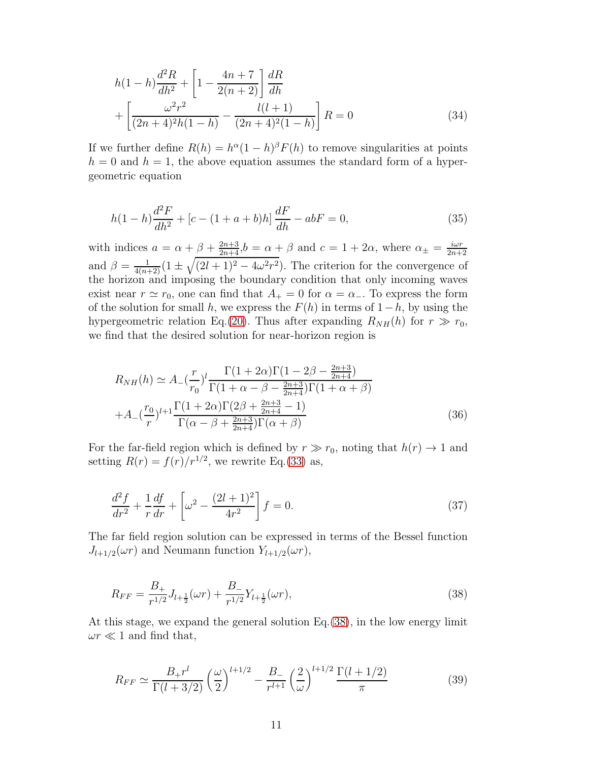$$
h(1-h)\frac{d^2R}{dh^2} + \left[1 - \frac{4n+7}{2(n+2)}\right]\frac{dR}{dh} + \left[\frac{\omega^2r^2}{(2n+4)^2h(1-h)} - \frac{l(l+1)}{(2n+4)^2(1-h)}\right]R = 0
$$
\n(34)

If we further define  $R(h) = h^{\alpha}(1-h)^{\beta} F(h)$  to remove singularities at points  $h = 0$  and  $h = 1$ , the above equation assumes the standard form of a hypergeometric equation

$$
h(1-h)\frac{d^2F}{dh^2} + [c - (1+a+b)h]\frac{dF}{dh} - abF = 0,
$$
\n(35)

with indices  $a = \alpha + \beta + \frac{2n+3}{2n+4}, b = \alpha + \beta$  and  $c = 1 + 2\alpha$ , where  $\alpha_{\pm} = \frac{i\omega r}{2n+4}$ 2n+2 and  $\beta = \frac{1}{4(n+2)} (1 \pm \sqrt{(2l+1)^2 - 4\omega^2 r^2})$ . The criterion for the convergence of the horizon and imposing the boundary condition that only incoming waves exist near  $r \simeq r_0$ , one can find that  $A_+ = 0$  for  $\alpha = \alpha_-$ . To express the form of the solution for small h, we express the  $F(h)$  in terms of  $1-h$ , by using the hypergeometric relation Eq.[\(20\)](#page-6-1). Thus after expanding  $R_{NH}(h)$  for  $r \gg r_0$ , we find that the desired solution for near-horizon region is

<span id="page-10-1"></span>
$$
R_{NH}(h) \simeq A_{-}(\frac{r}{r_0})^l \frac{\Gamma(1+2\alpha)\Gamma(1-2\beta-\frac{2n+3}{2n+4})}{\Gamma(1+\alpha-\beta-\frac{2n+3}{2n+4})\Gamma(1+\alpha+\beta)}
$$
  
+
$$
A_{-}(\frac{r_0}{r})^{l+1} \frac{\Gamma(1+2\alpha)\Gamma(2\beta+\frac{2n+3}{2n+4}-1)}{\Gamma(\alpha-\beta+\frac{2n+3}{2n+4})\Gamma(\alpha+\beta)}
$$
(36)

For the far-field region which is defined by  $r \gg r_0$ , noting that  $h(r) \to 1$  and setting  $R(r) = f(r)/r^{1/2}$ , we rewrite Eq.[\(33\)](#page-9-0) as,

$$
\frac{d^2f}{dr^2} + \frac{1}{r}\frac{df}{dr} + \left[\omega^2 - \frac{(2l+1)^2}{4r^2}\right]f = 0.
$$
\n(37)

The far field region solution can be expressed in terms of the Bessel function  $J_{l+1/2}(\omega r)$  and Neumann function  $Y_{l+1/2}(\omega r)$ ,

<span id="page-10-0"></span>
$$
R_{FF} = \frac{B_+}{r^{1/2}} J_{l+\frac{1}{2}}(\omega r) + \frac{B_-}{r^{1/2}} Y_{l+\frac{1}{2}}(\omega r),\tag{38}
$$

At this stage, we expand the general solution Eq.[\(38\)](#page-10-0), in the low energy limit  $\omega r \ll 1$  and find that,

<span id="page-10-2"></span>
$$
R_{FF} \simeq \frac{B_+ r^l}{\Gamma(l+3/2)} \left(\frac{\omega}{2}\right)^{l+1/2} - \frac{B_-}{r^{l+1}} \left(\frac{2}{\omega}\right)^{l+1/2} \frac{\Gamma(l+1/2)}{\pi} \tag{39}
$$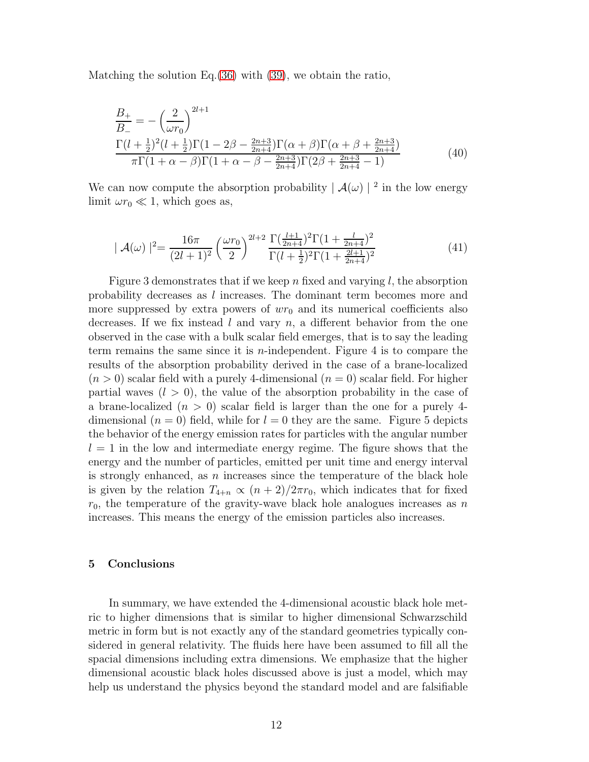Matching the solution Eq.[\(36\)](#page-10-1) with [\(39\)](#page-10-2), we obtain the ratio,

$$
\frac{B_{+}}{B_{-}} = -\left(\frac{2}{\omega r_{0}}\right)^{2l+1} \frac{\Gamma(l+\frac{1}{2})^{2}(l+\frac{1}{2})\Gamma(1-2\beta-\frac{2n+3}{2n+4})\Gamma(\alpha+\beta)\Gamma(\alpha+\beta+\frac{2n+3}{2n+4})}{\pi\Gamma(1+\alpha-\beta)\Gamma(1+\alpha-\beta-\frac{2n+3}{2n+4})\Gamma(2\beta+\frac{2n+3}{2n+4}-1)}
$$
(40)

We can now compute the absorption probability  $|\mathcal{A}(\omega)|^2$  in the low energy limit  $\omega r_0 \ll 1$ , which goes as,

$$
|\mathcal{A}(\omega)|^2 = \frac{16\pi}{(2l+1)^2} \left(\frac{\omega r_0}{2}\right)^{2l+2} \frac{\Gamma(\frac{l+1}{2n+4})^2 \Gamma(1+\frac{l}{2n+4})^2}{\Gamma(l+\frac{1}{2})^2 \Gamma(1+\frac{2l+1}{2n+4})^2}
$$
(41)

Figure 3 demonstrates that if we keep n fixed and varying l, the absorption probability decreases as l increases. The dominant term becomes more and more suppressed by extra powers of  $wr_0$  and its numerical coefficients also decreases. If we fix instead l and vary  $n$ , a different behavior from the one observed in the case with a bulk scalar field emerges, that is to say the leading term remains the same since it is *n*-independent. Figure 4 is to compare the results of the absorption probability derived in the case of a brane-localized  $(n > 0)$  scalar field with a purely 4-dimensional  $(n = 0)$  scalar field. For higher partial waves  $(l > 0)$ , the value of the absorption probability in the case of a brane-localized  $(n > 0)$  scalar field is larger than the one for a purely 4dimensional  $(n = 0)$  field, while for  $l = 0$  they are the same. Figure 5 depicts the behavior of the energy emission rates for particles with the angular number  $l = 1$  in the low and intermediate energy regime. The figure shows that the energy and the number of particles, emitted per unit time and energy interval is strongly enhanced, as  $n$  increases since the temperature of the black hole is given by the relation  $T_{4+n} \propto (n+2)/2\pi r_0$ , which indicates that for fixed  $r_0$ , the temperature of the gravity-wave black hole analogues increases as n increases. This means the energy of the emission particles also increases.

## 5 Conclusions

In summary, we have extended the 4-dimensional acoustic black hole metric to higher dimensions that is similar to higher dimensional Schwarzschild metric in form but is not exactly any of the standard geometries typically considered in general relativity. The fluids here have been assumed to fill all the spacial dimensions including extra dimensions. We emphasize that the higher dimensional acoustic black holes discussed above is just a model, which may help us understand the physics beyond the standard model and are falsifiable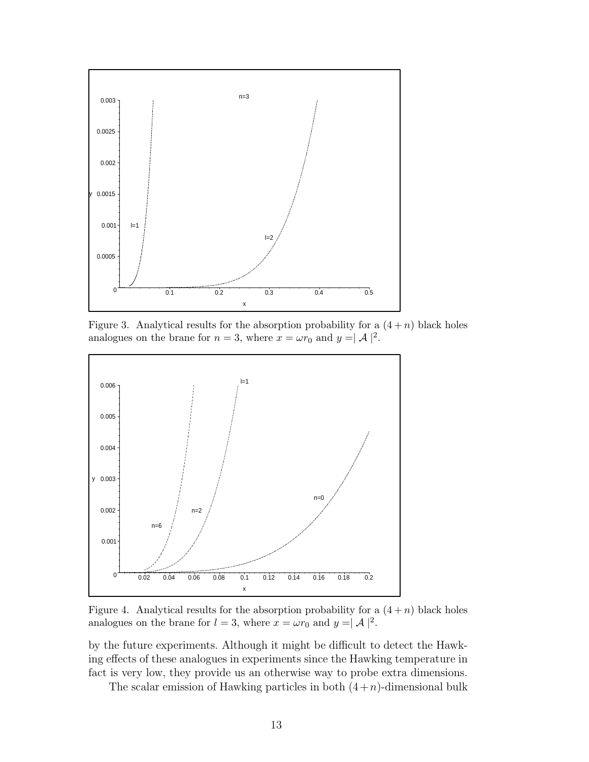

Figure 3. Analytical results for the absorption probability for a  $(4 + n)$  black holes analogues on the brane for  $n = 3$ , where  $x = \omega r_0$  and  $y = |\mathcal{A}|^2$ .



Figure 4. Analytical results for the absorption probability for a  $(4 + n)$  black holes analogues on the brane for  $l = 3$ , where  $x = \omega r_0$  and  $y = |\mathcal{A}|^2$ .

by the future experiments. Although it might be difficult to detect the Hawking effects of these analogues in experiments since the Hawking temperature in fact is very low, they provide us an otherwise way to probe extra dimensions.

The scalar emission of Hawking particles in both  $(4+n)$ -dimensional bulk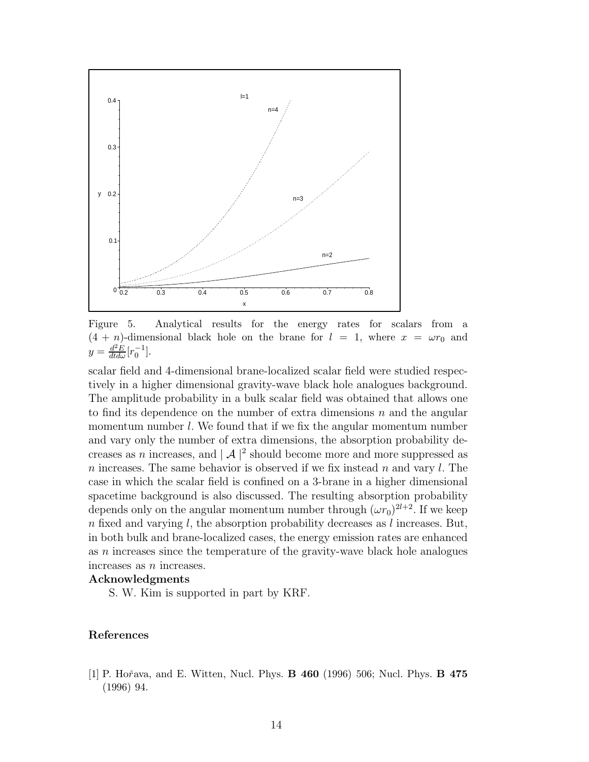

Figure 5. Analytical results for the energy rates for scalars from a  $(4 + n)$ -dimensional black hole on the brane for  $l = 1$ , where  $x = \omega r_0$  and  $y = \frac{d^2 E}{dt d\omega} [r_0^{-1}].$ 

scalar field and 4-dimensional brane-localized scalar field were studied respectively in a higher dimensional gravity-wave black hole analogues background. The amplitude probability in a bulk scalar field was obtained that allows one to find its dependence on the number of extra dimensions  $n$  and the angular momentum number  $l$ . We found that if we fix the angular momentum number and vary only the number of extra dimensions, the absorption probability decreases as n increases, and  $|A|^2$  should become more and more suppressed as n increases. The same behavior is observed if we fix instead n and vary  $l$ . The case in which the scalar field is confined on a 3-brane in a higher dimensional spacetime background is also discussed. The resulting absorption probability depends only on the angular momentum number through  $(\omega r_0)^{2l+2}$ . If we keep  $n$  fixed and varying l, the absorption probability decreases as l increases. But, in both bulk and brane-localized cases, the energy emission rates are enhanced as n increases since the temperature of the gravity-wave black hole analogues increases as n increases.

## Acknowledgments

S. W. Kim is supported in part by KRF.

## References

<span id="page-13-0"></span>[1] P. Hořava, and E. Witten, Nucl. Phys. **B 460** (1996) 506; Nucl. Phys. **B 475** (1996) 94.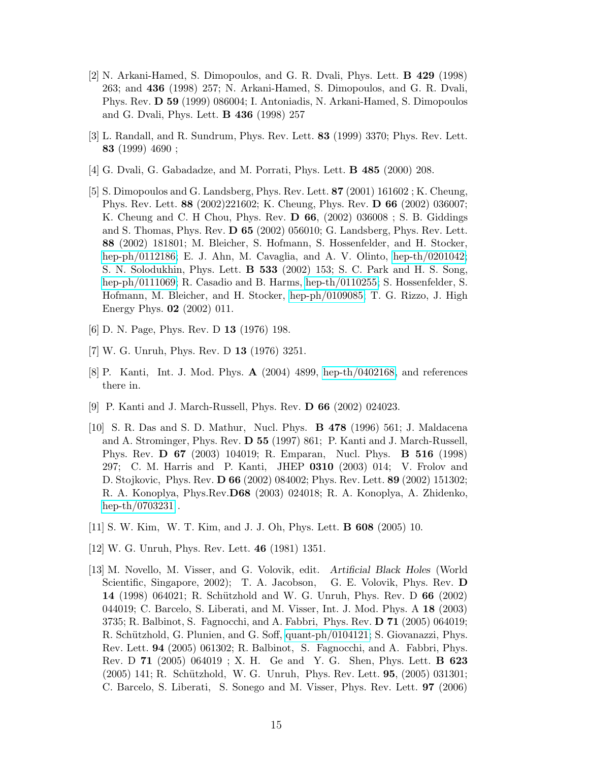- <span id="page-14-0"></span>[2] N. Arkani-Hamed, S. Dimopoulos, and G. R. Dvali, Phys. Lett. B 429 (1998) 263; and 436 (1998) 257; N. Arkani-Hamed, S. Dimopoulos, and G. R. Dvali, Phys. Rev. D 59 (1999) 086004; I. Antoniadis, N. Arkani-Hamed, S. Dimopoulos and G. Dvali, Phys. Lett. B 436 (1998) 257
- <span id="page-14-2"></span><span id="page-14-1"></span>[3] L. Randall, and R. Sundrum, Phys. Rev. Lett. 83 (1999) 3370; Phys. Rev. Lett. 83 (1999) 4690 ;
- <span id="page-14-3"></span>[4] G. Dvali, G. Gabadadze, and M. Porrati, Phys. Lett. B 485 (2000) 208.
- [5] S. Dimopoulos and G. Landsberg, Phys. Rev. Lett. 87 (2001) 161602 ; K. Cheung, Phys. Rev. Lett. 88 (2002)221602; K. Cheung, Phys. Rev. D 66 (2002) 036007; K. Cheung and C. H Chou, Phys. Rev. D 66, (2002) 036008 ; S. B. Giddings and S. Thomas, Phys. Rev. D 65 (2002) 056010; G. Landsberg, Phys. Rev. Lett. 88 (2002) 181801; M. Bleicher, S. Hofmann, S. Hossenfelder, and H. Stocker, [hep-ph/0112186;](http://arxiv.org/abs/hep-ph/0112186) E. J. Ahn, M. Cavaglia, and A. V. Olinto, [hep-th/0201042;](http://arxiv.org/abs/hep-th/0201042) S. N. Solodukhin, Phys. Lett. B 533 (2002) 153; S. C. Park and H. S. Song, [hep-ph/0111069;](http://arxiv.org/abs/hep-ph/0111069) R. Casadio and B. Harms, [hep-th/0110255;](http://arxiv.org/abs/hep-th/0110255) S. Hossenfelder, S. Hofmann, M. Bleicher, and H. Stocker, [hep-ph/0109085;](http://arxiv.org/abs/hep-ph/0109085) T. G. Rizzo, J. High Energy Phys. 02 (2002) 011.
- <span id="page-14-5"></span><span id="page-14-4"></span>[6] D. N. Page, Phys. Rev. D 13 (1976) 198.
- <span id="page-14-6"></span>[7] W. G. Unruh, Phys. Rev. D 13 (1976) 3251.
- <span id="page-14-7"></span>[8] P. Kanti, Int. J. Mod. Phys. A (2004) 4899, [hep-th/0402168,](http://arxiv.org/abs/hep-th/0402168) and references there in.
- <span id="page-14-8"></span>[9] P. Kanti and J. March-Russell, Phys. Rev. D 66 (2002) 024023.
- [10] S. R. Das and S. D. Mathur, Nucl. Phys. B 478 (1996) 561; J. Maldacena and A. Strominger, Phys. Rev. D 55 (1997) 861; P. Kanti and J. March-Russell, Phys. Rev. D 67 (2003) 104019; R. Emparan, Nucl. Phys. B 516 (1998) 297; C. M. Harris and P. Kanti, JHEP 0310 (2003) 014; V. Frolov and D. Stojkovic, Phys. Rev. D 66 (2002) 084002; Phys. Rev. Lett. 89 (2002) 151302; R. A. Konoplya, Phys.Rev.D68 (2003) 024018; R. A. Konoplya, A. Zhidenko, [hep-th/0703231](http://arxiv.org/abs/hep-th/0703231).
- <span id="page-14-10"></span><span id="page-14-9"></span>[11] S. W. Kim, W. T. Kim, and J. J. Oh, Phys. Lett. B 608 (2005) 10.
- <span id="page-14-11"></span>[12] W. G. Unruh, Phys. Rev. Lett. 46 (1981) 1351.
- [13] M. Novello, M. Visser, and G. Volovik, edit. Artificial Black Holes (World Scientific, Singapore, 2002); T. A. Jacobson, G. E. Volovik, Phys. Rev. D 14 (1998) 064021; R. Schützhold and W. G. Unruh, Phys. Rev. D 66 (2002) 044019; C. Barcelo, S. Liberati, and M. Visser, Int. J. Mod. Phys. A 18 (2003) 3735; R. Balbinot, S. Fagnocchi, and A. Fabbri, Phys. Rev. D 71 (2005) 064019; R. Schützhold, G. Plunien, and G. Soff, [quant-ph/0104121;](http://arxiv.org/abs/quant-ph/0104121) S. Giovanazzi, Phys. Rev. Lett. 94 (2005) 061302; R. Balbinot, S. Fagnocchi, and A. Fabbri, Phys. Rev. D 71 (2005) 064019 ; X. H. Ge and Y. G. Shen, Phys. Lett. B 623 (2005) 141; R. Schützhold, W. G. Unruh, Phys. Rev. Lett. **95**, (2005) 031301; C. Barcelo, S. Liberati, S. Sonego and M. Visser, Phys. Rev. Lett. 97 (2006)